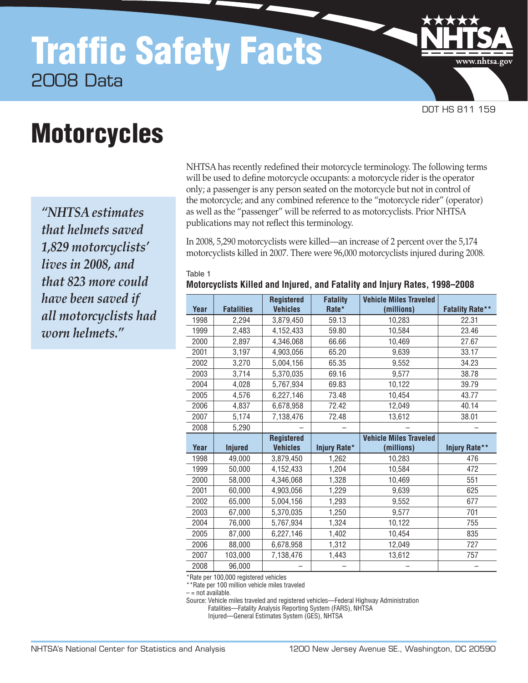# Traffic Safety Facts 2008 Data

**Motorcycles** 

*"NHTSA estimates that helmets saved 1,829 motorcyclists' lives in 2008, and that 823 more could have been saved if all motorcyclists had worn helmets."*

NHTSA has recently redefined their motorcycle terminology. The following terms will be used to define motorcycle occupants: a motorcycle rider is the operator only; a passenger is any person seated on the motorcycle but not in control of the motorcycle; and any combined reference to the "motorcycle rider" (operator) as well as the "passenger" will be referred to as motorcyclists. Prior NHTSA publications may not reflect this terminology.

DOT HS 811 159

www.nhtsa.gc

In 2008, 5,290 motorcyclists were killed—an increase of 2 percent over the 5,174 motorcyclists killed in 2007. There were 96,000 motorcyclists injured during 2008.

#### Table 1

**Motorcyclists Killed and Injured, and Fatality and Injury Rates, 1998–2008**

|      |                   | <b>Registered</b> | <b>Fatality</b> | <b>Vehicle Miles Traveled</b> |                        |
|------|-------------------|-------------------|-----------------|-------------------------------|------------------------|
| Year | <b>Fatalities</b> | <b>Vehicles</b>   | Rate*           | (millions)                    | <b>Fatality Rate**</b> |
| 1998 | 2,294             | 3,879,450         | 59.13           | 10,283                        | 22.31                  |
| 1999 | 2,483             | 4,152,433         | 59.80           | 10,584                        | 23.46                  |
| 2000 | 2,897             | 4,346,068         | 66.66           | 10,469                        | 27.67                  |
| 2001 | 3,197             | 4,903,056         | 65.20           | 9,639                         | 33.17                  |
| 2002 | 3,270             | 5,004,156         | 65.35           | 9,552                         | 34.23                  |
| 2003 | 3,714             | 5,370,035         | 69.16           | 9,577                         | 38.78                  |
| 2004 | 4,028             | 5,767,934         | 69.83           | 10,122                        | 39.79                  |
| 2005 | 4,576             | 6,227,146         | 73.48           | 10,454                        | 43.77                  |
| 2006 | 4,837             | 6,678,958         | 72.42           | 12,049                        | 40.14                  |
| 2007 | 5,174             | 7,138,476         | 72.48           | 13,612                        | 38.01                  |
| 2008 | 5,290             |                   |                 |                               |                        |
|      |                   | <b>Registered</b> |                 | <b>Vehicle Miles Traveled</b> |                        |
|      |                   |                   |                 |                               |                        |
| Year | <b>Injured</b>    | <b>Vehicles</b>   | Injury Rate*    | (millions)                    | Injury Rate**          |
| 1998 | 49,000            | 3,879,450         | 1,262           | 10,283                        | 476                    |
| 1999 | 50,000            | 4,152,433         | 1,204           | 10,584                        | 472                    |
| 2000 | 58,000            | 4,346,068         | 1,328           | 10,469                        | 551                    |
| 2001 | 60,000            | 4,903,056         | 1,229           | 9,639                         | 625                    |
| 2002 | 65,000            | 5,004,156         | 1,293           | 9,552                         | 677                    |
| 2003 | 67,000            | 5,370,035         | 1,250           | 9,577                         | 701                    |
| 2004 | 76,000            | 5,767,934         | 1,324           | 10,122                        | 755                    |
| 2005 | 87,000            | 6,227,146         | 1,402           | 10,454                        | 835                    |
| 2006 | 88,000            | 6,678,958         | 1,312           | 12,049                        | 727                    |
| 2007 | 103,000           | 7,138,476         | 1,443           | 13,612                        | 757                    |

\*Rate per 100,000 registered vehicles

\*\*Rate per 100 million vehicle miles traveled

 $-$  = not available.

Source: Vehicle miles traveled and registered vehicles—Federal Highway Administration

Fatalities—Fatality Analysis Reporting System (FARS), NHTSA

Injured—General Estimates System (GES), NHTSA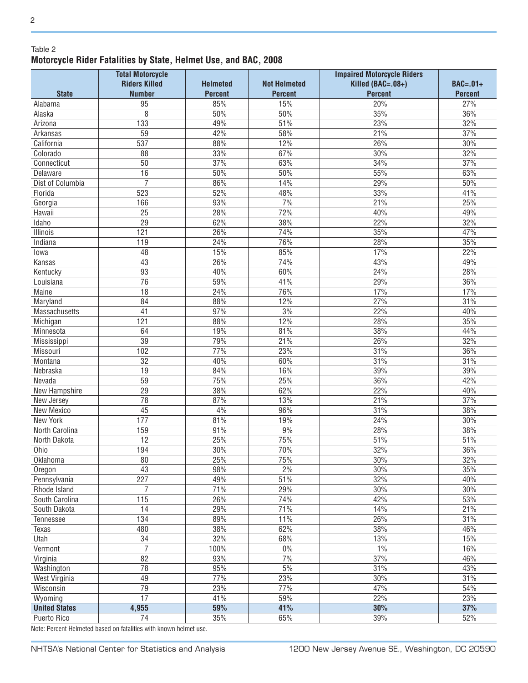#### Table 2 **Motorcycle Rider Fatalities by State, Helmet Use, and BAC, 2008**

|                      | <b>Total Motorcycle</b><br><b>Riders Killed</b> | <b>Helmeted</b> | <b>Not Helmeted</b> | <b>Impaired Motorcycle Riders</b><br>Killed (BAC=.08+) | $BAC=.01+$     |
|----------------------|-------------------------------------------------|-----------------|---------------------|--------------------------------------------------------|----------------|
| <b>State</b>         | <b>Number</b>                                   | <b>Percent</b>  | <b>Percent</b>      | <b>Percent</b>                                         | <b>Percent</b> |
| Alabama              | 95                                              | 85%             | 15%                 | 20%                                                    | 27%            |
| Alaska               | 8                                               | 50%             | 50%                 | 35%                                                    | 36%            |
| Arizona              | 133                                             | 49%             | 51%                 | 23%                                                    | 32%            |
| Arkansas             | 59                                              | 42%             | 58%                 | 21%                                                    | 37%            |
| California           | 537                                             | 88%             | 12%                 | 26%                                                    | 30%            |
| Colorado             | 88                                              | 33%             | 67%                 | 30%                                                    | 32%            |
| Connecticut          | 50                                              | 37%             | 63%                 | 34%                                                    | 37%            |
| Delaware             | 16                                              | 50%             | 50%                 | 55%                                                    | 63%            |
| Dist of Columbia     | $\overline{7}$                                  | 86%             | 14%                 | 29%                                                    | 50%            |
| Florida              | 523                                             | 52%             | 48%                 | 33%                                                    | 41%            |
| Georgia              | 166                                             | 93%             | 7%                  | 21%                                                    | 25%            |
| Hawaii               | 25                                              | 28%             | 72%                 | 40%                                                    | 49%            |
| Idaho                | $\overline{29}$                                 | 62%             | 38%                 | 22%                                                    | 32%            |
| Illinois             | 121                                             | 26%             | 74%                 | 35%                                                    | 47%            |
| Indiana              | 119                                             | 24%             | 76%                 | 28%                                                    | 35%            |
|                      | 48                                              | 15%             | 85%                 | 17%                                                    | 22%            |
| lowa<br>Kansas       | 43                                              | 26%             | 74%                 | 43%                                                    | 49%            |
|                      | 93                                              | 40%             |                     | 24%                                                    | 28%            |
| Kentucky             | $\overline{76}$                                 | 59%             | 60%<br>41%          |                                                        |                |
| Louisiana            | 18                                              |                 | 76%                 | 29%                                                    | 36%<br>17%     |
| Maine                | 84                                              | 24%<br>88%      |                     | 17%                                                    | 31%            |
| Maryland             | $\overline{41}$                                 | 97%             | 12%<br>3%           | 27%<br>22%                                             | 40%            |
| Massachusetts        | 121                                             | 88%             | 12%                 |                                                        | 35%            |
| Michigan             | 64                                              | 19%             | 81%                 | 28%<br>38%                                             | 44%            |
| Minnesota            | $\overline{39}$                                 | 79%             |                     |                                                        | 32%            |
| Mississippi          |                                                 |                 | 21%                 | 26%                                                    |                |
| Missouri             | 102                                             | 77%             | 23%                 | 31%                                                    | 36%            |
| Montana              | 32                                              | 40%             | 60%                 | 31%                                                    | 31%            |
| Nebraska             | 19                                              | 84%             | 16%                 | 39%                                                    | 39%            |
| Nevada               | $\overline{59}$                                 | 75%             | 25%                 | 36%                                                    | 42%            |
| New Hampshire        | 29                                              | 38%             | 62%                 | 22%                                                    | 40%            |
| New Jersey           | 78                                              | 87%             | 13%                 | 21%                                                    | 37%            |
| New Mexico           | 45                                              | 4%              | 96%                 | 31%                                                    | 38%            |
| New York             | 177                                             | 81%             | 19%                 | 24%                                                    | 30%            |
| North Carolina       | 159                                             | 91%             | 9%                  | 28%                                                    | 38%            |
| North Dakota         | 12                                              | 25%             | 75%                 | 51%                                                    | 51%            |
| Ohio                 | 194                                             | 30%             | 70%                 | 32%                                                    | 36%            |
| Oklahoma             | 80                                              | 25%             | 75%                 | 30%                                                    | 32%            |
| Oregon               | 43                                              | 98%             | 2%                  | 30%                                                    | 35%            |
| Pennsylvania         | 227                                             | 49%             | 51%                 | 32%                                                    | 40%            |
| Rhode Island         | 7                                               | 71%             | 29%                 | 30%                                                    | 30%            |
| South Carolina       | 115                                             | 26%             | 74%                 | 42%                                                    | 53%            |
| South Dakota         | 14                                              | 29%             | 71%                 | 14%                                                    | 21%            |
| Tennessee            | 134                                             | 89%             | 11%                 | 26%                                                    | 31%            |
| Texas                | 480                                             | 38%             | 62%                 | 38%                                                    | 46%            |
| Utah                 | $\overline{34}$                                 | 32%             | 68%                 | 13%                                                    | 15%            |
| Vermont              | $\overline{7}$                                  | 100%            | $0\%$               | 1%                                                     | 16%            |
| Virginia             | 82                                              | 93%             | 7%                  | 37%                                                    | 46%            |
| Washington           | 78                                              | 95%             | $5\%$               | 31%                                                    | 43%            |
| <b>West Virginia</b> | 49                                              | 77%             | 23%                 | 30%                                                    | 31%            |
| Wisconsin            | 79                                              | 23%             | 77%                 | 47%                                                    | 54%            |
| Wyoming              | 17                                              | 41%             | 59%                 | 22%                                                    | 23%            |
| <b>United States</b> | 4,955                                           | 59%             | 41%                 | 30%                                                    | 37%            |
| Puerto Rico          | 74                                              | $35\%$          | 65%                 | 39%                                                    | 52%            |

Note: Percent Helmeted based on fatalities with known helmet use.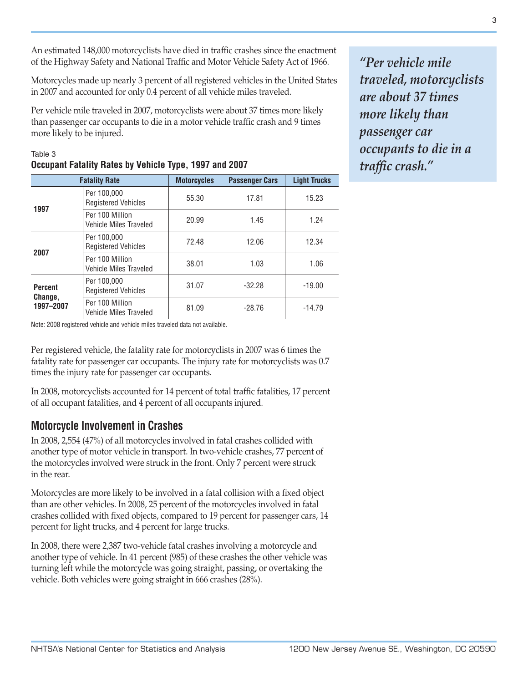An estimated 148,000 motorcyclists have died in traffic crashes since the enactment of the Highway Safety and National Traffic and Motor Vehicle Safety Act of 1966.

Motorcycles made up nearly 3 percent of all registered vehicles in the United States in 2007 and accounted for only 0.4 percent of all vehicle miles traveled.

Per vehicle mile traveled in 2007, motorcyclists were about 37 times more likely than passenger car occupants to die in a motor vehicle traffic crash and 9 times more likely to be injured.

| <b>Fatality Rate</b> |                                                  | <b>Motorcycles</b> | <b>Passenger Cars</b> | <b>Light Trucks</b> |
|----------------------|--------------------------------------------------|--------------------|-----------------------|---------------------|
| 1997                 | Per 100,000<br><b>Registered Vehicles</b>        | 55.30              | 17.81                 | 15.23               |
|                      | Per 100 Million<br><b>Vehicle Miles Traveled</b> | 20.99              | 1.45                  | 1.24                |
| 2007                 | Per 100,000<br><b>Registered Vehicles</b>        | 72.48              | 12.06                 | 12.34               |
|                      | Per 100 Million<br>Vehicle Miles Traveled        | 38.01              | 1.03                  | 1.06                |
| <b>Percent</b>       | Per 100,000<br><b>Registered Vehicles</b>        | 31.07              | $-32.28$              | $-19.00$            |
| Change,<br>1997-2007 | Per 100 Million<br>Vehicle Miles Traveled        | 81.09              | $-28.76$              | $-14.79$            |

### Table 3 **Occupant Fatality Rates by Vehicle Type, 1997 and 2007**

Note: 2008 registered vehicle and vehicle miles traveled data not available.

Per registered vehicle, the fatality rate for motorcyclists in 2007 was 6 times the fatality rate for passenger car occupants. The injury rate for motorcyclists was 0.7 times the injury rate for passenger car occupants.

In 2008, motorcyclists accounted for 14 percent of total traffic fatalities, 17 percent of all occupant fatalities, and 4 percent of all occupants injured.

## **Motorcycle Involvement in Crashes**

In 2008, 2,554 (47%) of all motorcycles involved in fatal crashes collided with another type of motor vehicle in transport. In two-vehicle crashes, 77 percent of the motorcycles involved were struck in the front. Only 7 percent were struck in the rear.

Motorcycles are more likely to be involved in a fatal collision with a fixed object than are other vehicles. In 2008, 25 percent of the motorcycles involved in fatal crashes collided with fixed objects, compared to 19 percent for passenger cars, 14 percent for light trucks, and 4 percent for large trucks.

In 2008, there were 2,387 two-vehicle fatal crashes involving a motorcycle and another type of vehicle. In 41 percent (985) of these crashes the other vehicle was turning left while the motorcycle was going straight, passing, or overtaking the vehicle. Both vehicles were going straight in 666 crashes (28%).

*"Per vehicle mile traveled, motorcyclists are about 37 times more likely than passenger car occupants to die in a traffic crash."*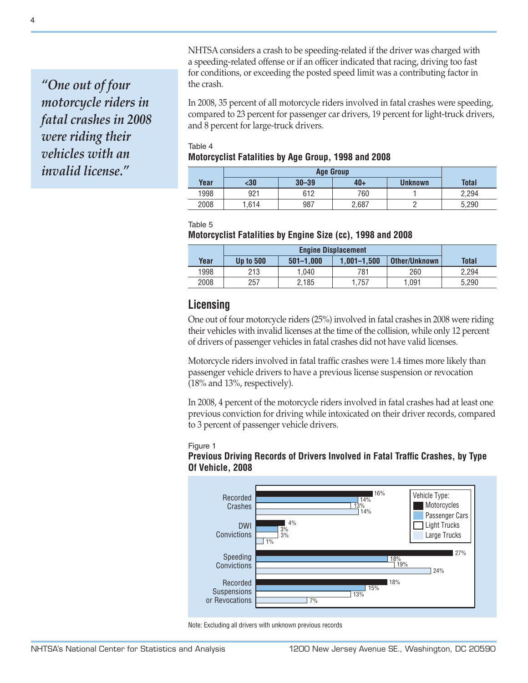*"One out of four motorcycle riders in fatal crashes in 2008 were riding their vehicles with an invalid license."*

NHTSA considers a crash to be speeding-related if the driver was charged with a speeding-related offense or if an officer indicated that racing, driving too fast for conditions, or exceeding the posted speed limit was a contributing factor in the crash.

In 2008, 35 percent of all motorcycle riders involved in fatal crashes were speeding, compared to 23 percent for passenger car drivers, 19 percent for light-truck drivers, and 8 percent for large-truck drivers.

#### Table 4 **Motorcyclist Fatalities by Age Group, 1998 and 2008**

|      | <b>Age Group</b> |           |       |         |       |
|------|------------------|-----------|-------|---------|-------|
| Year | $30$             | $30 - 39$ | $40+$ | Unknown | Total |
| 1998 | 921              | 612       | 760   |         | 2.294 |
| 2008 | l.614            | 987       | 2.687 |         | 5.290 |

Table 5

#### **Motorcyclist Fatalities by Engine Size (cc), 1998 and 2008**

|      | <b>Engine Displacement</b> |               |                 |               |              |
|------|----------------------------|---------------|-----------------|---------------|--------------|
| Year | <b>Up to 500</b>           | $501 - 1.000$ | $1.001 - 1.500$ | Other/Unknown | <b>Total</b> |
| 1998 | 213                        | 1.040         | 781             | 260           | 2.294        |
| 2008 | 257                        | 2,185         | .757            | 1.091         | 5.290        |

## **Licensing**

One out of four motorcycle riders (25%) involved in fatal crashes in 2008 were riding their vehicles with invalid licenses at the time of the collision, while only 12 percent of drivers of passenger vehicles in fatal crashes did not have valid licenses.

Motorcycle riders involved in fatal traffic crashes were 1.4 times more likely than passenger vehicle drivers to have a previous license suspension or revocation (18% and 13%, respectively).

In 2008, 4 percent of the motorcycle riders involved in fatal crashes had at least one previous conviction for driving while intoxicated on their driver records, compared to 3 percent of passenger vehicle drivers.

#### Figure 1 **Previous Driving Records of Drivers Involved in Fatal Traffic Crashes, by Type Of Vehicle, 2008**



Note: Excluding all drivers with unknown previous records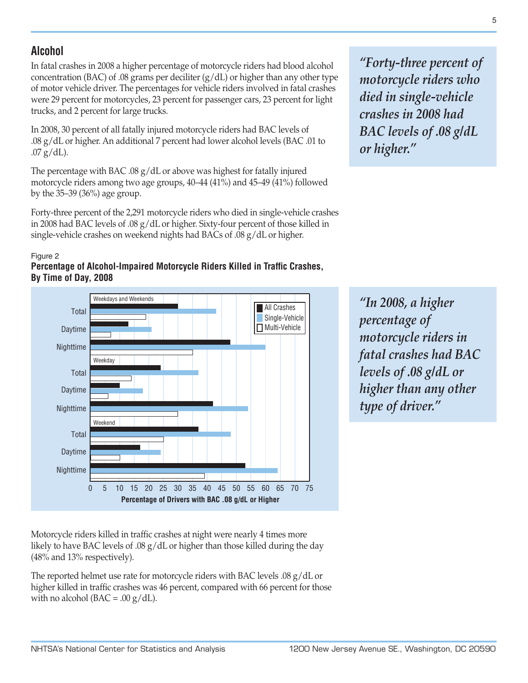# **Alcohol**

In fatal crashes in 2008 a higher percentage of motorcycle riders had blood alcohol concentration (BAC) of .08 grams per deciliter  $(g/dL)$  or higher than any other type of motor vehicle driver. The percentages for vehicle riders involved in fatal crashes were 29 percent for motorcycles, 23 percent for passenger cars, 23 percent for light trucks, and 2 percent for large trucks.

In 2008, 30 percent of all fatally injured motorcycle riders had BAC levels of .08 g/dL or higher. An additional 7 percent had lower alcohol levels (BAC .01 to  $.07$  g/dL).

The percentage with BAC .08  $g/dL$  or above was highest for fatally injured motorcycle riders among two age groups, 40–44 (41%) and 45–49 (41%) followed by the 35–39 (36%) age group.

Forty-three percent of the 2,291 motorcycle riders who died in single-vehicle crashes in 2008 had BAC levels of .08 g/dL or higher. Sixty-four percent of those killed in single-vehicle crashes on weekend nights had BACs of .08 g/dL or higher.

#### Figure 2





*"Forty-three percent of motorcycle riders who died in single-vehicle crashes in 2008 had BAC levels of .08 g/dL or higher."*

*"In 2008, a higher percentage of motorcycle riders in fatal crashes had BAC levels of .08 g/dL or higher than any other type of driver."*

Motorcycle riders killed in traffic crashes at night were nearly 4 times more likely to have BAC levels of .08 g/dL or higher than those killed during the day (48% and 13% respectively).

The reported helmet use rate for motorcycle riders with BAC levels .08 g/dL or higher killed in traffic crashes was 46 percent, compared with 66 percent for those with no alcohol ( $BAC = .00 \text{ g}/dL$ ).